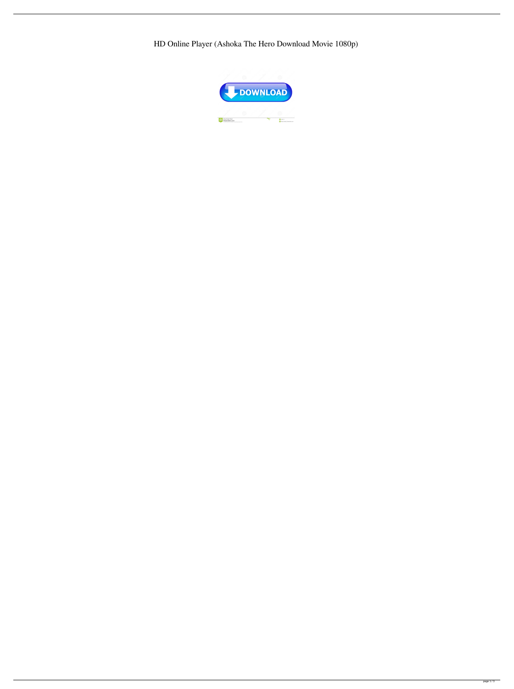HD Online Player (Ashoka The Hero Download Movie 1080p)

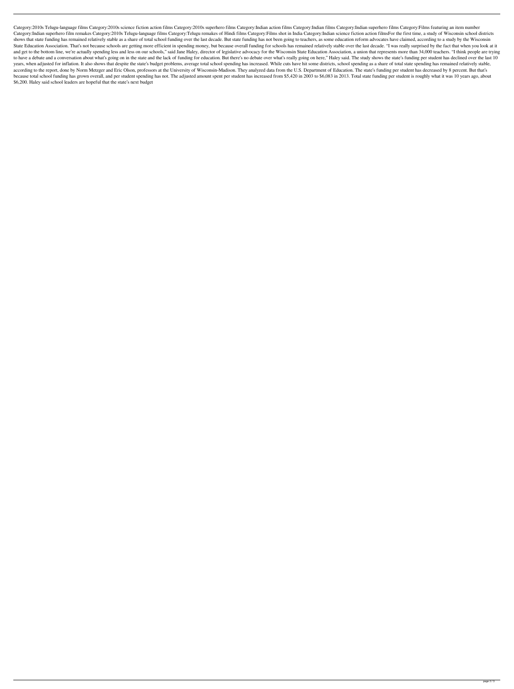Category:2010s Telugu-language films Category:2010s science fiction action films Category:2010s superhero films Category:Indian action films Category:Indian films Category:Indian superhero films Category:Films featuring an Category:Indian superhero film remakes Category:2010s Telugu-language films Category:Telugu remakes of Hindi films Category:Films shot in India Category:Indian science fiction action filmsFor the first time, a study of Wis shows that state funding has remained relatively stable as a share of total school funding over the last decade. But state funding has not been going to teachers, as some education reform advocates have claimed, according State Education. That's not because schools are getting more efficient in spending money, but because overall funding for schools has remained relatively stable over the last decade. "I was really surprised by the fact tha and get to the bottom line, we're actually spending less and less on our schools," said Jane Haley, director of legislative advocacy for the Wisconsin State Education, a union that represents more than 34,000 teachers. "I to have a debate and a conversation about what's going on in the state and the lack of funding for education. But there's no debate over what's really going on here," Haley said. The study shows the state's funding per stu years, when adjusted for inflation. It also shows that despite the state's budget problems, average total school spending has increased. While cuts have hit some districts, school spending as a share of total state spendin according to the report, done by Norm Metzger and Eric Olson, professors at the University of Wisconsin-Madison. They analyzed data from the U.S. Department of Education. The state's funding per student has decreased by 8 because total school funding has grown overall, and per student spending has not. The adjusted amount spent per student has increased from \$5,420 in 2003 to \$6,083 in 2013. Total state funding per student is roughly what i \$6,200. Haley said school leaders are hopeful that the state's next budget